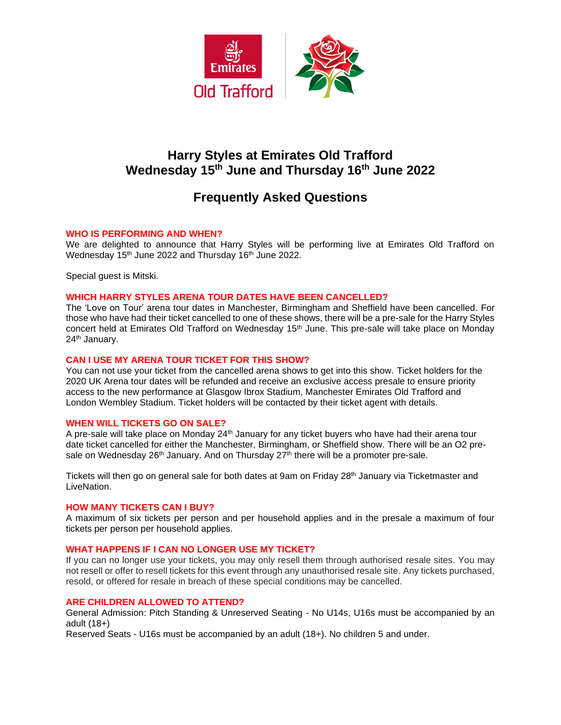

# **Harry Styles at Emirates Old Trafford Wednesday 15th June and Thursday 16th June 2022**

# **Frequently Asked Questions**

## **WHO IS PERFORMING AND WHEN?**

We are delighted to announce that Harry Styles will be performing live at Emirates Old Trafford on Wednesday 15<sup>th</sup> June 2022 and Thursday 16<sup>th</sup> June 2022.

Special guest is Mitski.

## **WHICH HARRY STYLES ARENA TOUR DATES HAVE BEEN CANCELLED?**

The 'Love on Tour' arena tour dates in Manchester, Birmingham and Sheffield have been cancelled. For those who have had their ticket cancelled to one of these shows, there will be a pre-sale for the Harry Styles concert held at Emirates Old Trafford on Wednesday 15<sup>th</sup> June. This pre-sale will take place on Monday 24th January.

#### **CAN I USE MY ARENA TOUR TICKET FOR THIS SHOW?**

You can not use your ticket from the cancelled arena shows to get into this show. Ticket holders for the 2020 UK Arena tour dates will be refunded and receive an exclusive access presale to ensure priority access to the new performance at Glasgow Ibrox Stadium, Manchester Emirates Old Trafford and London Wembley Stadium. Ticket holders will be contacted by their ticket agent with details.

## **WHEN WILL TICKETS GO ON SALE?**

A pre-sale will take place on Monday 24<sup>th</sup> January for any ticket buyers who have had their arena tour date ticket cancelled for either the Manchester, Birmingham, or Sheffield show. There will be an O2 presale on Wednesday 26<sup>th</sup> January. And on Thursday  $27<sup>th</sup>$  there will be a promoter pre-sale.

Tickets will then go on general sale for both dates at 9am on Friday 28th January via Ticketmaster and **LiveNation** 

#### **HOW MANY TICKETS CAN I BUY?**

A maximum of six tickets per person and per household applies and in the presale a maximum of four tickets per person per household applies.

## **WHAT HAPPENS IF I CAN NO LONGER USE MY TICKET?**

If you can no longer use your tickets, you may only resell them through authorised resale sites. You may not resell or offer to resell tickets for this event through any unauthorised resale site. Any tickets purchased, resold, or offered for resale in breach of these special conditions may be cancelled.

#### **ARE CHILDREN ALLOWED TO ATTEND?**

General Admission: Pitch Standing & Unreserved Seating - No U14s, U16s must be accompanied by an adult (18+)

Reserved Seats - U16s must be accompanied by an adult (18+). No children 5 and under.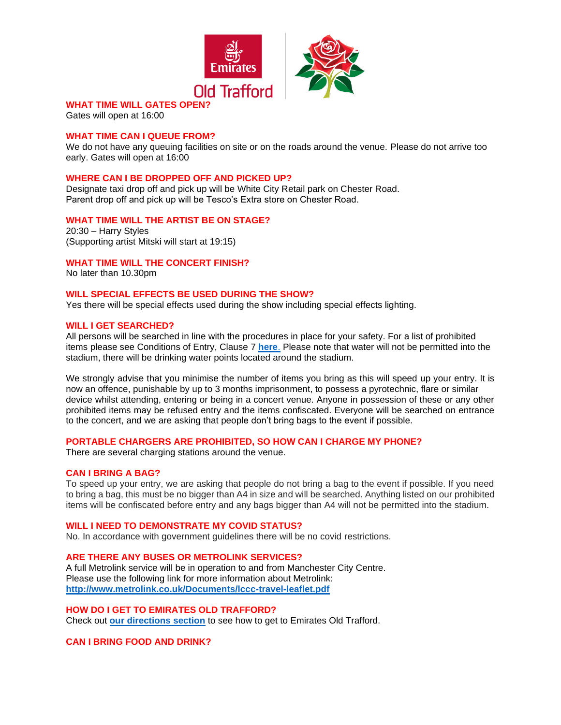

# **WHAT TIME WILL GATES OPE**

Gates will open at 16:00

## **WHAT TIME CAN I QUEUE FROM?**

We do not have any queuing facilities on site or on the roads around the venue. Please do not arrive too early. Gates will open at 16:00

#### **WHERE CAN I BE DROPPED OFF AND PICKED UP?**

Designate taxi drop off and pick up will be White City Retail park on Chester Road. Parent drop off and pick up will be Tesco's Extra store on Chester Road.

#### **WHAT TIME WILL THE ARTIST BE ON STAGE?**

20:30 – Harry Styles (Supporting artist Mitski will start at 19:15)

**WHAT TIME WILL THE CONCERT FINISH?**

No later than 10.30pm

## **WILL SPECIAL EFFECTS BE USED DURING THE SHOW?**

Yes there will be special effects used during the show including special effects lighting.

#### **WILL I GET SEARCHED?**

All persons will be searched in line with the procedures in place for your safety. For a list of prohibited items please see Conditions of Entry, Clause 7 **[here](https://cricket.lancashirecricket.co.uk/media/17097/full-ticket-terms-and-conditions-and-conditions-of-entry-2021-v3.pdf)**. Please note that water will not be permitted into the stadium, there will be drinking water points located around the stadium.

We strongly advise that you minimise the number of items you bring as this will speed up your entry. It is now an offence, punishable by up to 3 months imprisonment, to possess a pyrotechnic, flare or similar device whilst attending, entering or being in a concert venue. Anyone in possession of these or any other prohibited items may be refused entry and the items confiscated. Everyone will be searched on entrance to the concert, and we are asking that people don't bring bags to the event if possible.

#### **PORTABLE CHARGERS ARE PROHIBITED, SO HOW CAN I CHARGE MY PHONE?**

There are several charging stations around the venue.

#### **CAN I BRING A BAG?**

To speed up your entry, we are asking that people do not bring a bag to the event if possible. If you need to bring a bag, this must be no bigger than A4 in size and will be searched. Anything listed on our prohibited items will be confiscated before entry and any bags bigger than A4 will not be permitted into the stadium.

#### **WILL I NEED TO DEMONSTRATE MY COVID STATUS?**

No. In accordance with government guidelines there will be no covid restrictions.

#### **ARE THERE ANY BUSES OR METROLINK SERVICES?**

A full Metrolink service will be in operation to and from Manchester City Centre. Please use the following link for more information about Metrolink: **<http://www.metrolink.co.uk/Documents/lccc-travel-leaflet.pdf>**

## **HOW DO I GET TO EMIRATES OLD TRAFFORD?**

Check out **[our directions section](http://cricket.lancashirecricket.co.uk/media/7221/lc_how_to_find_us.pdf)** to see how to get to Emirates Old Trafford.

**CAN I BRING FOOD AND DRINK?**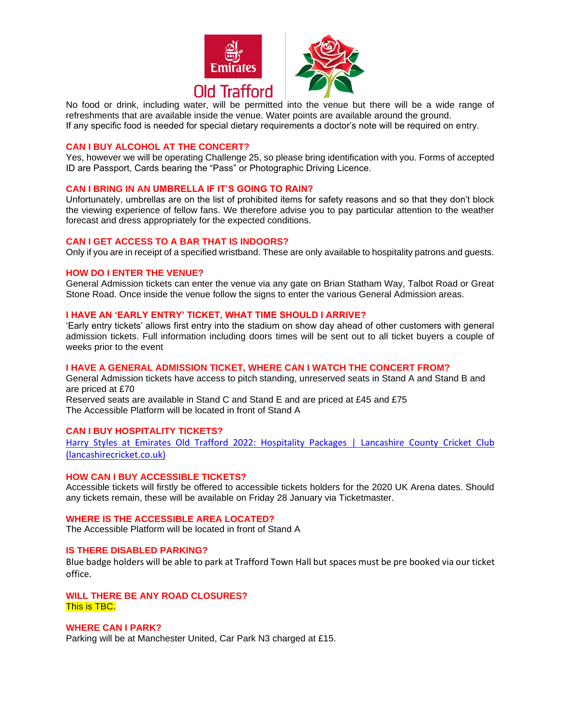

No food or drink, including water, will be permitted into the venue but there will be a wide range of refreshments that are available inside the venue. Water points are available around the ground. If any specific food is needed for special dietary requirements a doctor's note will be required on entry.

## **CAN I BUY ALCOHOL AT THE CONCERT?**

Yes, however we will be operating Challenge 25, so please bring identification with you. Forms of accepted ID are Passport, Cards bearing the "Pass" or Photographic Driving Licence.

## **CAN I BRING IN AN UMBRELLA IF IT'S GOING TO RAIN?**

Unfortunately, umbrellas are on the list of prohibited items for safety reasons and so that they don't block the viewing experience of fellow fans. We therefore advise you to pay particular attention to the weather forecast and dress appropriately for the expected conditions.

#### **CAN I GET ACCESS TO A BAR THAT IS INDOORS?**

Only if you are in receipt of a specified wristband. These are only available to hospitality patrons and guests.

#### **HOW DO I ENTER THE VENUE?**

General Admission tickets can enter the venue via any gate on Brian Statham Way, Talbot Road or Great Stone Road. Once inside the venue follow the signs to enter the various General Admission areas.

#### **I HAVE AN 'EARLY ENTRY' TICKET, WHAT TIME SHOULD I ARRIVE?**

'Early entry tickets' allows first entry into the stadium on show day ahead of other customers with general admission tickets. Full information including doors times will be sent out to all ticket buyers a couple of weeks prior to the event

#### **I HAVE A GENERAL ADMISSION TICKET, WHERE CAN I WATCH THE CONCERT FROM?**

General Admission tickets have access to pitch standing, unreserved seats in Stand A and Stand B and are priced at £70

Reserved seats are available in Stand C and Stand E and are priced at £45 and £75 The Accessible Platform will be located in front of Stand A

## **CAN I BUY HOSPITALITY TICKETS?**

Harry Styles at Emirates Old Trafford 2022: Hospitality Packages | Lancashire County Cricket Club [\(lancashirecricket.co.uk\)](https://emiratesoldtrafford.lancashirecricket.co.uk/concerts/harry-styles/harry-styles-hospitality-packages/)

## **HOW CAN I BUY ACCESSIBLE TICKETS?**

Accessible tickets will firstly be offered to accessible tickets holders for the 2020 UK Arena dates. Should any tickets remain, these will be available on Friday 28 January via Ticketmaster.

#### **WHERE IS THE ACCESSIBLE AREA LOCATED?**

The Accessible Platform will be located in front of Stand A

## **IS THERE DISABLED PARKING?**

Blue badge holders will be able to park at Trafford Town Hall but spaces must be pre booked via our ticket office.

**WILL THERE BE ANY ROAD CLOSURES?** This is TBC.

## **WHERE CAN I PARK?**

Parking will be at Manchester United, Car Park N3 charged at £15.